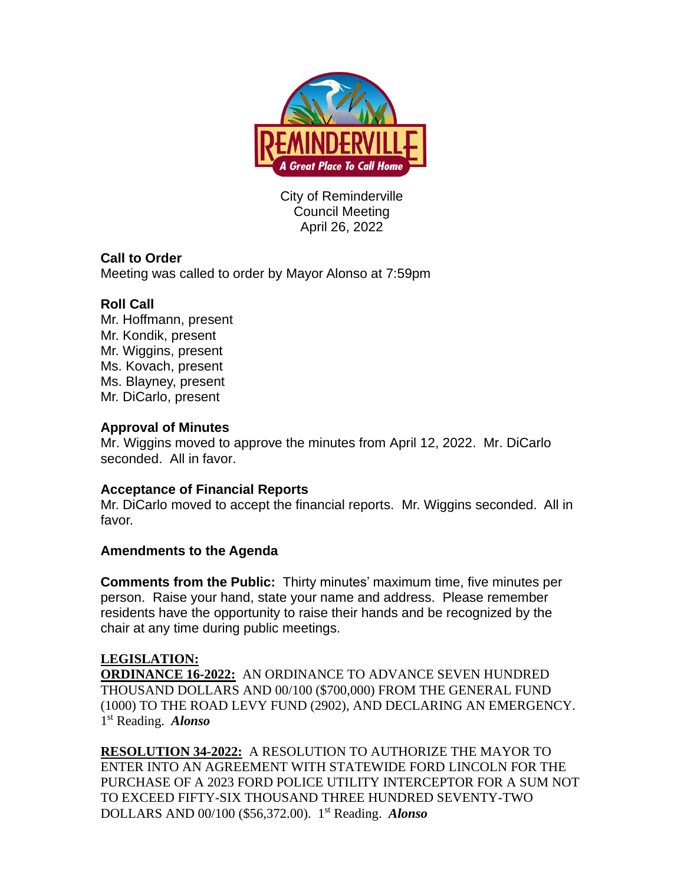

City of Reminderville Council Meeting April 26, 2022

# **Call to Order**

Meeting was called to order by Mayor Alonso at 7:59pm

## **Roll Call**

Mr. Hoffmann, present Mr. Kondik, present Mr. Wiggins, present Ms. Kovach, present Ms. Blayney, present Mr. DiCarlo, present

### **Approval of Minutes**

Mr. Wiggins moved to approve the minutes from April 12, 2022. Mr. DiCarlo seconded. All in favor.

### **Acceptance of Financial Reports**

Mr. DiCarlo moved to accept the financial reports. Mr. Wiggins seconded. All in favor.

### **Amendments to the Agenda**

**Comments from the Public:** Thirty minutes' maximum time, five minutes per person. Raise your hand, state your name and address. Please remember residents have the opportunity to raise their hands and be recognized by the chair at any time during public meetings.

### **LEGISLATION:**

**ORDINANCE 16-2022:** AN ORDINANCE TO ADVANCE SEVEN HUNDRED THOUSAND DOLLARS AND 00/100 (\$700,000) FROM THE GENERAL FUND (1000) TO THE ROAD LEVY FUND (2902), AND DECLARING AN EMERGENCY. 1 st Reading. *Alonso*

**RESOLUTION 34-2022:** A RESOLUTION TO AUTHORIZE THE MAYOR TO ENTER INTO AN AGREEMENT WITH STATEWIDE FORD LINCOLN FOR THE PURCHASE OF A 2023 FORD POLICE UTILITY INTERCEPTOR FOR A SUM NOT TO EXCEED FIFTY-SIX THOUSAND THREE HUNDRED SEVENTY-TWO DOLLARS AND 00/100 (\$56,372.00). 1 st Reading. *Alonso*